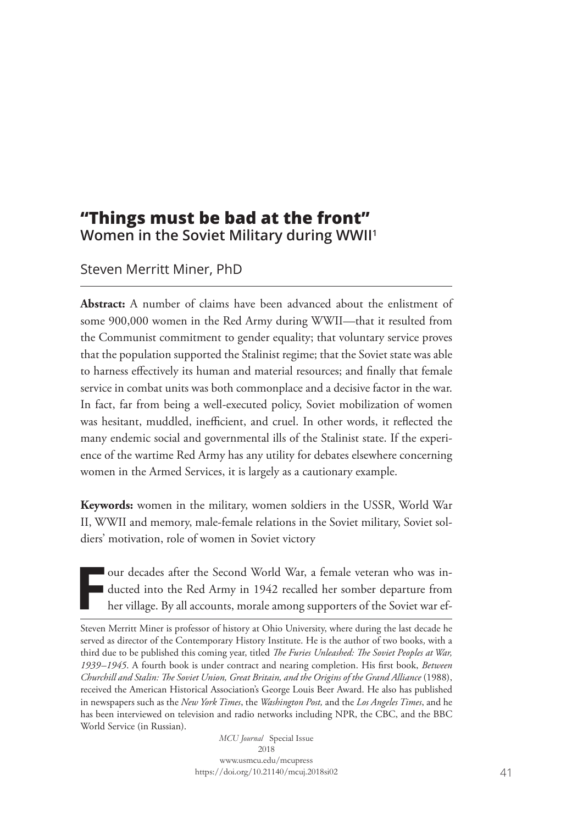## **"Things must be bad at the front" Women in the Soviet Military during WWII1**

Steven Merritt Miner, PhD

**Abstract:** A number of claims have been advanced about the enlistment of some 900,000 women in the Red Army during WWII—that it resulted from the Communist commitment to gender equality; that voluntary service proves that the population supported the Stalinist regime; that the Soviet state was able to harness effectively its human and material resources; and finally that female service in combat units was both commonplace and a decisive factor in the war. In fact, far from being a well-executed policy, Soviet mobilization of women was hesitant, muddled, inefficient, and cruel. In other words, it reflected the many endemic social and governmental ills of the Stalinist state. If the experience of the wartime Red Army has any utility for debates elsewhere concerning women in the Armed Services, it is largely as a cautionary example.

**Keywords:** women in the military, women soldiers in the USSR, World War II, WWII and memory, male-female relations in the Soviet military, Soviet soldiers' motivation, role of women in Soviet victory

**F** our decades after the Second World War, a female veteran who was inducted into the Red Army in 1942 recalled her somber departure from her village. By all accounts, morale among supporters of the Soviet war ef-

*MCU Journal* Special Issue 2018 www.usmcu.edu/mcupress https://doi.org/10.21140/mcuj.2018si02

Steven Merritt Miner is professor of history at Ohio University, where during the last decade he served as director of the Contemporary History Institute. He is the author of two books, with a third due to be published this coming year, titled *The Furies Unleashed: The Soviet Peoples at War, 1939–1945*. A fourth book is under contract and nearing completion. His first book, *Between Churchill and Stalin: The Soviet Union, Great Britain, and the Origins of the Grand Alliance* (1988), received the American Historical Association's George Louis Beer Award. He also has published in newspapers such as the *New York Times*, the *Washington Post,* and the *Los Angeles Times*, and he has been interviewed on television and radio networks including NPR, the CBC, and the BBC World Service (in Russian).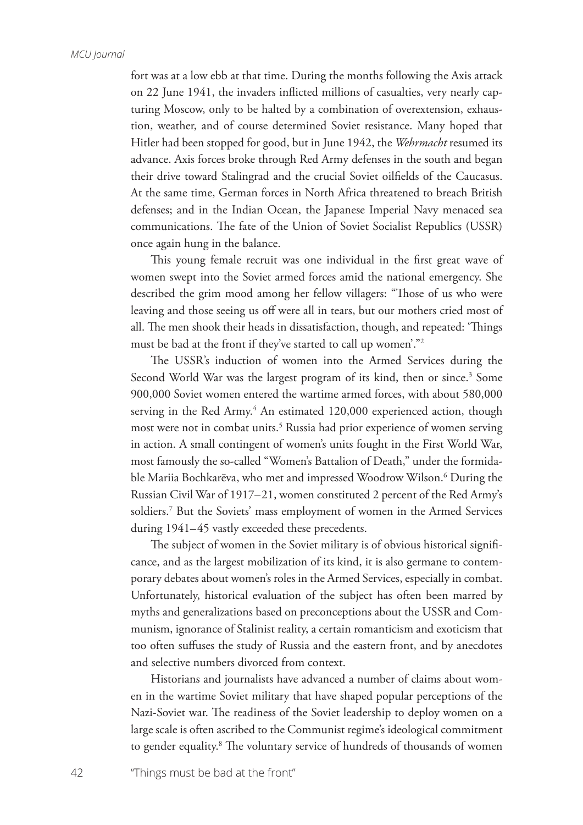fort was at a low ebb at that time. During the months following the Axis attack on 22 June 1941, the invaders inflicted millions of casualties, very nearly capturing Moscow, only to be halted by a combination of overextension, exhaustion, weather, and of course determined Soviet resistance. Many hoped that Hitler had been stopped for good, but in June 1942, the *Wehrmacht* resumed its advance. Axis forces broke through Red Army defenses in the south and began their drive toward Stalingrad and the crucial Soviet oilfields of the Caucasus. At the same time, German forces in North Africa threatened to breach British defenses; and in the Indian Ocean, the Japanese Imperial Navy menaced sea communications. The fate of the Union of Soviet Socialist Republics (USSR) once again hung in the balance.

This young female recruit was one individual in the first great wave of women swept into the Soviet armed forces amid the national emergency. She described the grim mood among her fellow villagers: "Those of us who were leaving and those seeing us off were all in tears, but our mothers cried most of all. The men shook their heads in dissatisfaction, though, and repeated: 'Things must be bad at the front if they've started to call up women'."2

The USSR's induction of women into the Armed Services during the Second World War was the largest program of its kind, then or since.<sup>3</sup> Some 900,000 Soviet women entered the wartime armed forces, with about 580,000 serving in the Red Army.<sup>4</sup> An estimated 120,000 experienced action, though most were not in combat units.<sup>5</sup> Russia had prior experience of women serving in action. A small contingent of women's units fought in the First World War, most famously the so-called "Women's Battalion of Death," under the formidable Mariia Bochkarëva, who met and impressed Woodrow Wilson.6 During the Russian Civil War of 1917–21, women constituted 2 percent of the Red Army's soldiers.7 But the Soviets' mass employment of women in the Armed Services during 1941–45 vastly exceeded these precedents.

The subject of women in the Soviet military is of obvious historical significance, and as the largest mobilization of its kind, it is also germane to contemporary debates about women's roles in the Armed Services, especially in combat. Unfortunately, historical evaluation of the subject has often been marred by myths and generalizations based on preconceptions about the USSR and Communism, ignorance of Stalinist reality, a certain romanticism and exoticism that too often suffuses the study of Russia and the eastern front, and by anecdotes and selective numbers divorced from context.

Historians and journalists have advanced a number of claims about women in the wartime Soviet military that have shaped popular perceptions of the Nazi-Soviet war. The readiness of the Soviet leadership to deploy women on a large scale is often ascribed to the Communist regime's ideological commitment to gender equality.8 The voluntary service of hundreds of thousands of women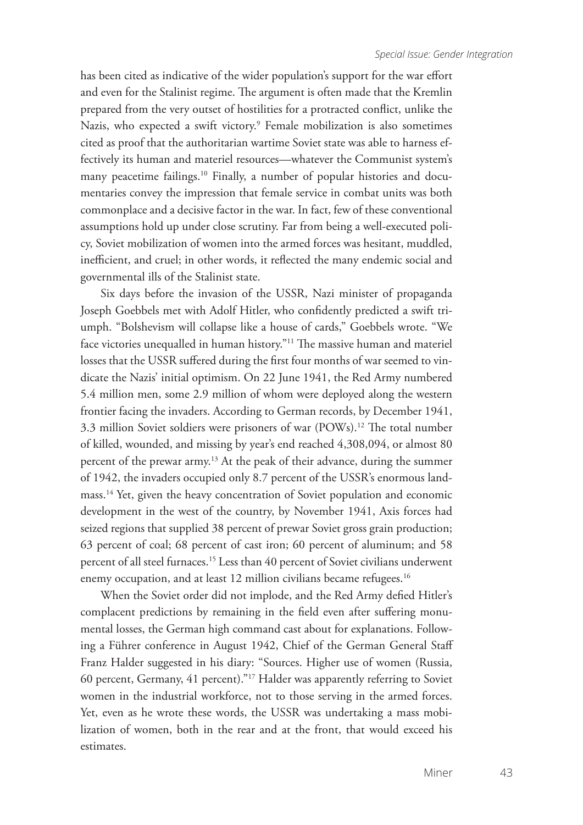has been cited as indicative of the wider population's support for the war effort and even for the Stalinist regime. The argument is often made that the Kremlin prepared from the very outset of hostilities for a protracted conflict, unlike the Nazis, who expected a swift victory.9 Female mobilization is also sometimes cited as proof that the authoritarian wartime Soviet state was able to harness effectively its human and materiel resources—whatever the Communist system's many peacetime failings.<sup>10</sup> Finally, a number of popular histories and documentaries convey the impression that female service in combat units was both commonplace and a decisive factor in the war. In fact, few of these conventional assumptions hold up under close scrutiny. Far from being a well-executed policy, Soviet mobilization of women into the armed forces was hesitant, muddled, inefficient, and cruel; in other words, it reflected the many endemic social and governmental ills of the Stalinist state.

Six days before the invasion of the USSR, Nazi minister of propaganda Joseph Goebbels met with Adolf Hitler, who confidently predicted a swift triumph. "Bolshevism will collapse like a house of cards," Goebbels wrote. "We face victories unequalled in human history."<sup>11</sup> The massive human and materiel losses that the USSR suffered during the first four months of war seemed to vindicate the Nazis' initial optimism. On 22 June 1941, the Red Army numbered 5.4 million men, some 2.9 million of whom were deployed along the western frontier facing the invaders. According to German records, by December 1941, 3.3 million Soviet soldiers were prisoners of war (POWs).<sup>12</sup> The total number of killed, wounded, and missing by year's end reached 4,308,094, or almost 80 percent of the prewar army.13 At the peak of their advance, during the summer of 1942, the invaders occupied only 8.7 percent of the USSR's enormous landmass.14 Yet, given the heavy concentration of Soviet population and economic development in the west of the country, by November 1941, Axis forces had seized regions that supplied 38 percent of prewar Soviet gross grain production; 63 percent of coal; 68 percent of cast iron; 60 percent of aluminum; and 58 percent of all steel furnaces.15 Less than 40 percent of Soviet civilians underwent enemy occupation, and at least 12 million civilians became refugees.<sup>16</sup>

When the Soviet order did not implode, and the Red Army defied Hitler's complacent predictions by remaining in the field even after suffering monumental losses, the German high command cast about for explanations. Following a Führer conference in August 1942, Chief of the German General Staff Franz Halder suggested in his diary: "Sources. Higher use of women (Russia, 60 percent, Germany, 41 percent)."17 Halder was apparently referring to Soviet women in the industrial workforce, not to those serving in the armed forces. Yet, even as he wrote these words, the USSR was undertaking a mass mobilization of women, both in the rear and at the front, that would exceed his estimates.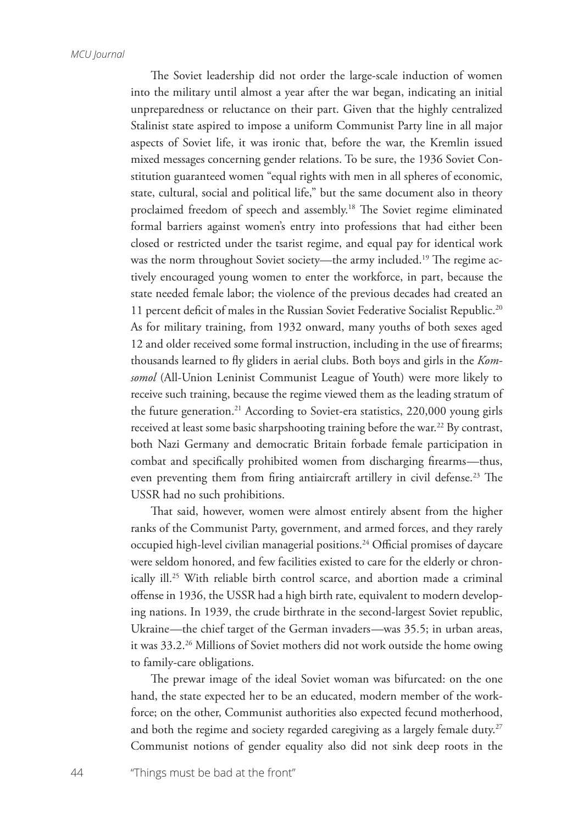The Soviet leadership did not order the large-scale induction of women into the military until almost a year after the war began, indicating an initial unpreparedness or reluctance on their part. Given that the highly centralized Stalinist state aspired to impose a uniform Communist Party line in all major aspects of Soviet life, it was ironic that, before the war, the Kremlin issued mixed messages concerning gender relations. To be sure, the 1936 Soviet Constitution guaranteed women "equal rights with men in all spheres of economic, state, cultural, social and political life," but the same document also in theory proclaimed freedom of speech and assembly.<sup>18</sup> The Soviet regime eliminated formal barriers against women's entry into professions that had either been closed or restricted under the tsarist regime, and equal pay for identical work was the norm throughout Soviet society—the army included.<sup>19</sup> The regime actively encouraged young women to enter the workforce, in part, because the state needed female labor; the violence of the previous decades had created an 11 percent deficit of males in the Russian Soviet Federative Socialist Republic.<sup>20</sup> As for military training, from 1932 onward, many youths of both sexes aged 12 and older received some formal instruction, including in the use of firearms; thousands learned to fly gliders in aerial clubs. Both boys and girls in the *Komsomol* (All-Union Leninist Communist League of Youth) were more likely to receive such training, because the regime viewed them as the leading stratum of the future generation.<sup>21</sup> According to Soviet-era statistics, 220,000 young girls received at least some basic sharpshooting training before the war.<sup>22</sup> By contrast, both Nazi Germany and democratic Britain forbade female participation in combat and specifically prohibited women from discharging firearms—thus, even preventing them from firing antiaircraft artillery in civil defense.<sup>23</sup> The USSR had no such prohibitions.

That said, however, women were almost entirely absent from the higher ranks of the Communist Party, government, and armed forces, and they rarely occupied high-level civilian managerial positions.<sup>24</sup> Official promises of daycare were seldom honored, and few facilities existed to care for the elderly or chronically ill.<sup>25</sup> With reliable birth control scarce, and abortion made a criminal offense in 1936, the USSR had a high birth rate, equivalent to modern developing nations. In 1939, the crude birthrate in the second-largest Soviet republic, Ukraine—the chief target of the German invaders—was 35.5; in urban areas, it was 33.2.26 Millions of Soviet mothers did not work outside the home owing to family-care obligations.

The prewar image of the ideal Soviet woman was bifurcated: on the one hand, the state expected her to be an educated, modern member of the workforce; on the other, Communist authorities also expected fecund motherhood, and both the regime and society regarded caregiving as a largely female duty.<sup>27</sup> Communist notions of gender equality also did not sink deep roots in the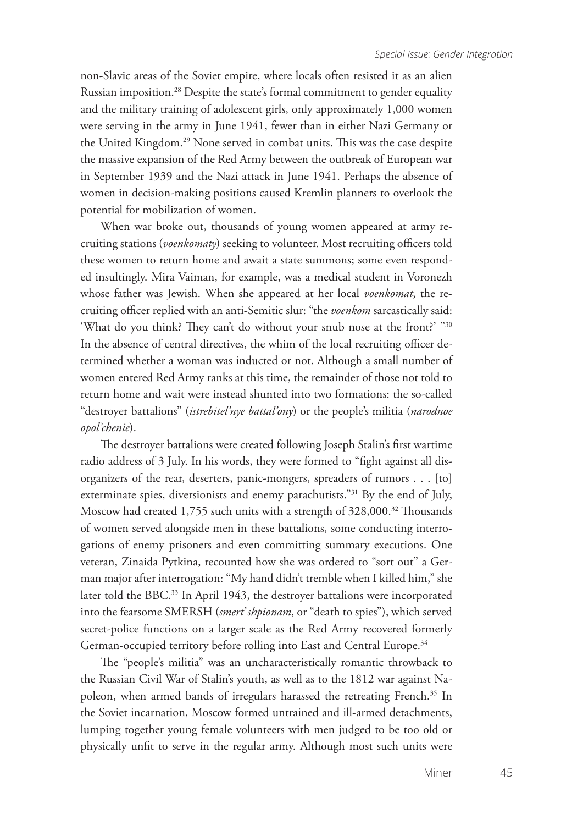non-Slavic areas of the Soviet empire, where locals often resisted it as an alien Russian imposition.28 Despite the state's formal commitment to gender equality and the military training of adolescent girls, only approximately 1,000 women were serving in the army in June 1941, fewer than in either Nazi Germany or the United Kingdom.29 None served in combat units. This was the case despite the massive expansion of the Red Army between the outbreak of European war in September 1939 and the Nazi attack in June 1941. Perhaps the absence of women in decision-making positions caused Kremlin planners to overlook the potential for mobilization of women.

When war broke out, thousands of young women appeared at army recruiting stations (*voenkomaty*) seeking to volunteer. Most recruiting officers told these women to return home and await a state summons; some even responded insultingly. Mira Vaiman, for example, was a medical student in Voronezh whose father was Jewish. When she appeared at her local *voenkomat*, the recruiting officer replied with an anti-Semitic slur: "the *voenkom* sarcastically said: 'What do you think? They can't do without your snub nose at the front?' "30 In the absence of central directives, the whim of the local recruiting officer determined whether a woman was inducted or not. Although a small number of women entered Red Army ranks at this time, the remainder of those not told to return home and wait were instead shunted into two formations: the so-called "destroyer battalions" (*istrebitel'nye battal'ony*) or the people's militia (*narodnoe opol'chenie*).

The destroyer battalions were created following Joseph Stalin's first wartime radio address of 3 July. In his words, they were formed to "fight against all disorganizers of the rear, deserters, panic-mongers, spreaders of rumors . . . [to] exterminate spies, diversionists and enemy parachutists."31 By the end of July, Moscow had created 1,755 such units with a strength of 328,000.<sup>32</sup> Thousands of women served alongside men in these battalions, some conducting interrogations of enemy prisoners and even committing summary executions. One veteran, Zinaida Pytkina, recounted how she was ordered to "sort out" a German major after interrogation: "My hand didn't tremble when I killed him," she later told the BBC.<sup>33</sup> In April 1943, the destroyer battalions were incorporated into the fearsome SMERSH (*smert' shpionam*, or "death to spies"), which served secret-police functions on a larger scale as the Red Army recovered formerly German-occupied territory before rolling into East and Central Europe.<sup>34</sup>

The "people's militia" was an uncharacteristically romantic throwback to the Russian Civil War of Stalin's youth, as well as to the 1812 war against Napoleon, when armed bands of irregulars harassed the retreating French.<sup>35</sup> In the Soviet incarnation, Moscow formed untrained and ill-armed detachments, lumping together young female volunteers with men judged to be too old or physically unfit to serve in the regular army. Although most such units were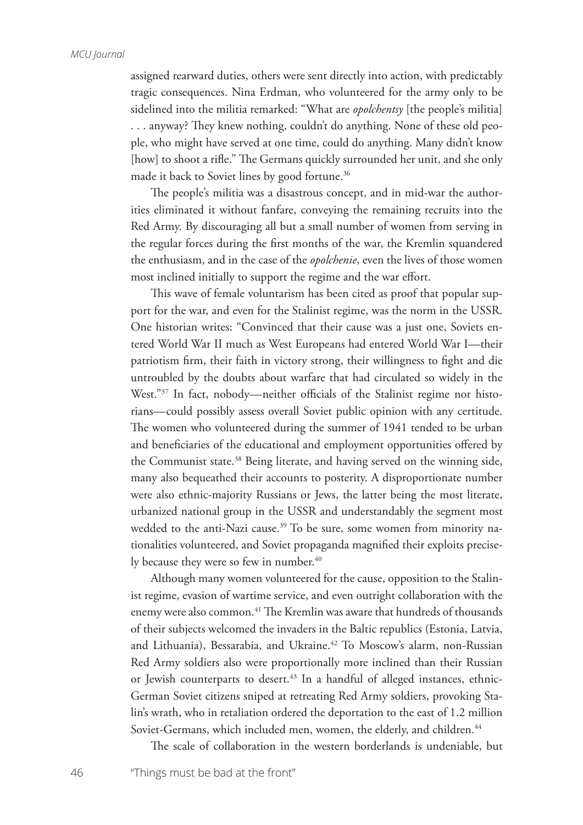assigned rearward duties, others were sent directly into action, with predictably tragic consequences. Nina Erdman, who volunteered for the army only to be sidelined into the militia remarked: "What are *opolchentsy* [the people's militia] . . . anyway? They knew nothing, couldn't do anything. None of these old people, who might have served at one time, could do anything. Many didn't know [how] to shoot a rifle." The Germans quickly surrounded her unit, and she only made it back to Soviet lines by good fortune.<sup>36</sup>

The people's militia was a disastrous concept, and in mid-war the authorities eliminated it without fanfare, conveying the remaining recruits into the Red Army. By discouraging all but a small number of women from serving in the regular forces during the first months of the war, the Kremlin squandered the enthusiasm, and in the case of the *opolchenie*, even the lives of those women most inclined initially to support the regime and the war effort.

This wave of female voluntarism has been cited as proof that popular support for the war, and even for the Stalinist regime, was the norm in the USSR. One historian writes: "Convinced that their cause was a just one, Soviets entered World War II much as West Europeans had entered World War I—their patriotism firm, their faith in victory strong, their willingness to fight and die untroubled by the doubts about warfare that had circulated so widely in the West."<sup>37</sup> In fact, nobody—neither officials of the Stalinist regime nor historians—could possibly assess overall Soviet public opinion with any certitude. The women who volunteered during the summer of 1941 tended to be urban and beneficiaries of the educational and employment opportunities offered by the Communist state.<sup>38</sup> Being literate, and having served on the winning side, many also bequeathed their accounts to posterity. A disproportionate number were also ethnic-majority Russians or Jews, the latter being the most literate, urbanized national group in the USSR and understandably the segment most wedded to the anti-Nazi cause.<sup>39</sup> To be sure, some women from minority nationalities volunteered, and Soviet propaganda magnified their exploits precisely because they were so few in number.<sup>40</sup>

Although many women volunteered for the cause, opposition to the Stalinist regime, evasion of wartime service, and even outright collaboration with the enemy were also common.<sup>41</sup> The Kremlin was aware that hundreds of thousands of their subjects welcomed the invaders in the Baltic republics (Estonia, Latvia, and Lithuania), Bessarabia, and Ukraine.<sup>42</sup> To Moscow's alarm, non-Russian Red Army soldiers also were proportionally more inclined than their Russian or Jewish counterparts to desert.<sup>43</sup> In a handful of alleged instances, ethnic-German Soviet citizens sniped at retreating Red Army soldiers, provoking Stalin's wrath, who in retaliation ordered the deportation to the east of 1.2 million Soviet-Germans, which included men, women, the elderly, and children.<sup>44</sup>

The scale of collaboration in the western borderlands is undeniable, but

46 "Things must be bad at the front"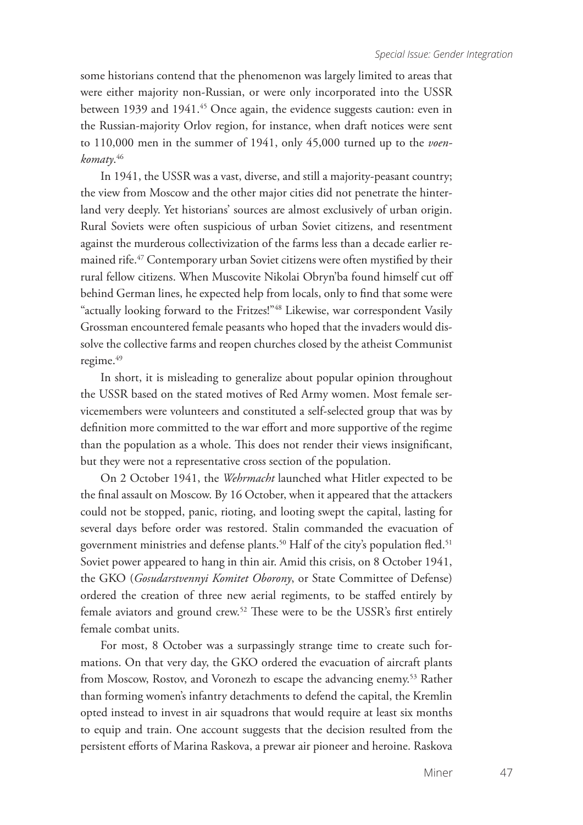some historians contend that the phenomenon was largely limited to areas that were either majority non-Russian, or were only incorporated into the USSR between 1939 and 1941.<sup>45</sup> Once again, the evidence suggests caution: even in the Russian-majority Orlov region, for instance, when draft notices were sent to 110,000 men in the summer of 1941, only 45,000 turned up to the *voenkomaty*. 46

In 1941, the USSR was a vast, diverse, and still a majority-peasant country; the view from Moscow and the other major cities did not penetrate the hinterland very deeply. Yet historians' sources are almost exclusively of urban origin. Rural Soviets were often suspicious of urban Soviet citizens, and resentment against the murderous collectivization of the farms less than a decade earlier remained rife.<sup>47</sup> Contemporary urban Soviet citizens were often mystified by their rural fellow citizens. When Muscovite Nikolai Obryn'ba found himself cut off behind German lines, he expected help from locals, only to find that some were "actually looking forward to the Fritzes!"48 Likewise, war correspondent Vasily Grossman encountered female peasants who hoped that the invaders would dissolve the collective farms and reopen churches closed by the atheist Communist regime.<sup>49</sup>

In short, it is misleading to generalize about popular opinion throughout the USSR based on the stated motives of Red Army women. Most female servicemembers were volunteers and constituted a self-selected group that was by definition more committed to the war effort and more supportive of the regime than the population as a whole. This does not render their views insignificant, but they were not a representative cross section of the population.

On 2 October 1941, the *Wehrmacht* launched what Hitler expected to be the final assault on Moscow. By 16 October, when it appeared that the attackers could not be stopped, panic, rioting, and looting swept the capital, lasting for several days before order was restored. Stalin commanded the evacuation of government ministries and defense plants.<sup>50</sup> Half of the city's population fled.<sup>51</sup> Soviet power appeared to hang in thin air. Amid this crisis, on 8 October 1941, the GKO (*Gosudarstvennyi Komitet Oborony*, or State Committee of Defense) ordered the creation of three new aerial regiments, to be staffed entirely by female aviators and ground crew.52 These were to be the USSR's first entirely female combat units.

For most, 8 October was a surpassingly strange time to create such formations. On that very day, the GKO ordered the evacuation of aircraft plants from Moscow, Rostov, and Voronezh to escape the advancing enemy.<sup>53</sup> Rather than forming women's infantry detachments to defend the capital, the Kremlin opted instead to invest in air squadrons that would require at least six months to equip and train. One account suggests that the decision resulted from the persistent efforts of Marina Raskova, a prewar air pioneer and heroine. Raskova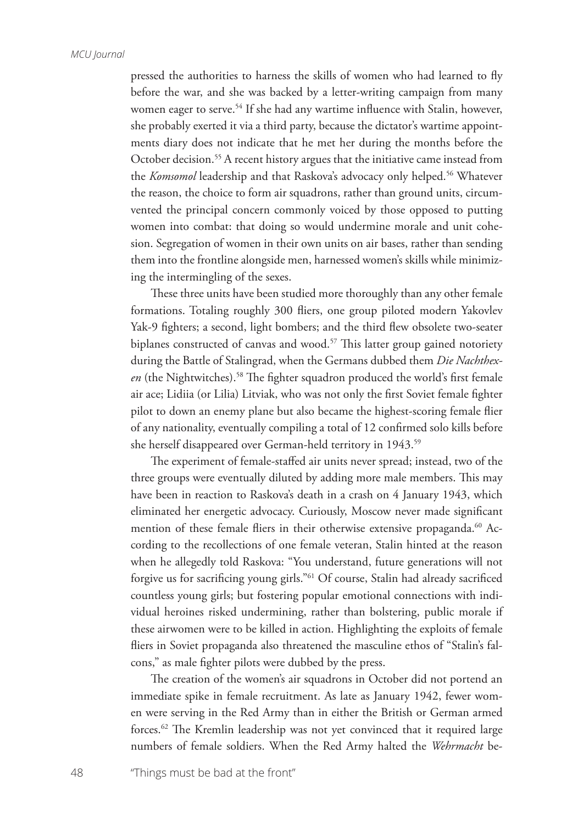pressed the authorities to harness the skills of women who had learned to fly before the war, and she was backed by a letter-writing campaign from many women eager to serve.<sup>54</sup> If she had any wartime influence with Stalin, however, she probably exerted it via a third party, because the dictator's wartime appointments diary does not indicate that he met her during the months before the October decision.<sup>55</sup> A recent history argues that the initiative came instead from the *Komsomol* leadership and that Raskova's advocacy only helped.<sup>56</sup> Whatever the reason, the choice to form air squadrons, rather than ground units, circumvented the principal concern commonly voiced by those opposed to putting women into combat: that doing so would undermine morale and unit cohesion. Segregation of women in their own units on air bases, rather than sending them into the frontline alongside men, harnessed women's skills while minimizing the intermingling of the sexes.

These three units have been studied more thoroughly than any other female formations. Totaling roughly 300 fliers, one group piloted modern Yakovlev Yak-9 fighters; a second, light bombers; and the third flew obsolete two-seater biplanes constructed of canvas and wood.<sup>57</sup> This latter group gained notoriety during the Battle of Stalingrad, when the Germans dubbed them *Die Nachthex*en (the Nightwitches).<sup>58</sup> The fighter squadron produced the world's first female air ace; Lidiia (or Lilia) Litviak, who was not only the first Soviet female fighter pilot to down an enemy plane but also became the highest-scoring female flier of any nationality, eventually compiling a total of 12 confirmed solo kills before she herself disappeared over German-held territory in 1943.<sup>59</sup>

The experiment of female-staffed air units never spread; instead, two of the three groups were eventually diluted by adding more male members. This may have been in reaction to Raskova's death in a crash on 4 January 1943, which eliminated her energetic advocacy. Curiously, Moscow never made significant mention of these female fliers in their otherwise extensive propaganda.<sup>60</sup> According to the recollections of one female veteran, Stalin hinted at the reason when he allegedly told Raskova: "You understand, future generations will not forgive us for sacrificing young girls."61 Of course, Stalin had already sacrificed countless young girls; but fostering popular emotional connections with individual heroines risked undermining, rather than bolstering, public morale if these airwomen were to be killed in action. Highlighting the exploits of female fliers in Soviet propaganda also threatened the masculine ethos of "Stalin's falcons," as male fighter pilots were dubbed by the press.

The creation of the women's air squadrons in October did not portend an immediate spike in female recruitment. As late as January 1942, fewer women were serving in the Red Army than in either the British or German armed forces.62 The Kremlin leadership was not yet convinced that it required large numbers of female soldiers. When the Red Army halted the *Wehrmacht* be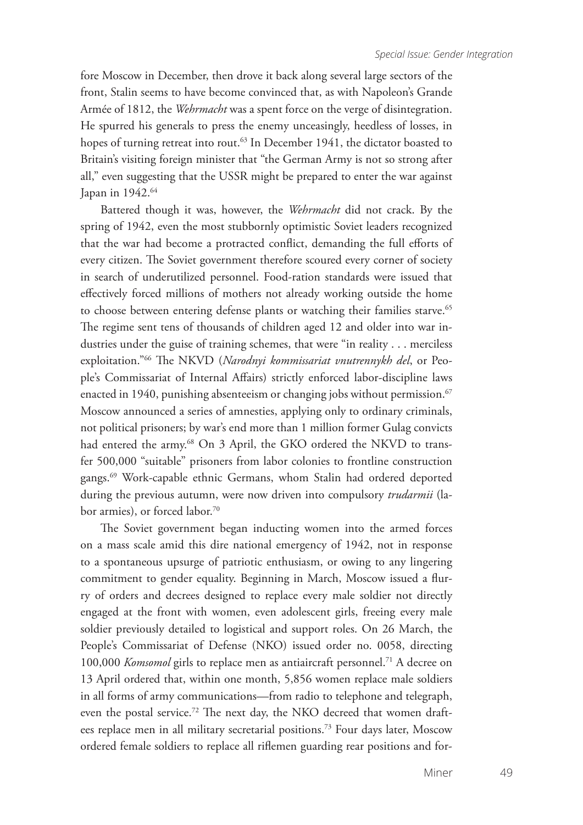fore Moscow in December, then drove it back along several large sectors of the front, Stalin seems to have become convinced that, as with Napoleon's Grande Armée of 1812, the *Wehrmacht* was a spent force on the verge of disintegration. He spurred his generals to press the enemy unceasingly, heedless of losses, in hopes of turning retreat into rout.<sup>63</sup> In December 1941, the dictator boasted to Britain's visiting foreign minister that "the German Army is not so strong after all," even suggesting that the USSR might be prepared to enter the war against Japan in 1942.<sup>64</sup>

Battered though it was, however, the *Wehrmacht* did not crack. By the spring of 1942, even the most stubbornly optimistic Soviet leaders recognized that the war had become a protracted conflict, demanding the full efforts of every citizen. The Soviet government therefore scoured every corner of society in search of underutilized personnel. Food-ration standards were issued that effectively forced millions of mothers not already working outside the home to choose between entering defense plants or watching their families starve.<sup>65</sup> The regime sent tens of thousands of children aged 12 and older into war industries under the guise of training schemes, that were "in reality . . . merciless exploitation."66 The NKVD (*Narodnyi kommissariat vnutrennykh del*, or People's Commissariat of Internal Affairs) strictly enforced labor-discipline laws enacted in 1940, punishing absenteeism or changing jobs without permission.<sup>67</sup> Moscow announced a series of amnesties, applying only to ordinary criminals, not political prisoners; by war's end more than 1 million former Gulag convicts had entered the army.<sup>68</sup> On 3 April, the GKO ordered the NKVD to transfer 500,000 "suitable" prisoners from labor colonies to frontline construction gangs.69 Work-capable ethnic Germans, whom Stalin had ordered deported during the previous autumn, were now driven into compulsory *trudarmii* (labor armies), or forced labor.<sup>70</sup>

The Soviet government began inducting women into the armed forces on a mass scale amid this dire national emergency of 1942, not in response to a spontaneous upsurge of patriotic enthusiasm, or owing to any lingering commitment to gender equality. Beginning in March, Moscow issued a flurry of orders and decrees designed to replace every male soldier not directly engaged at the front with women, even adolescent girls, freeing every male soldier previously detailed to logistical and support roles. On 26 March, the People's Commissariat of Defense (NKO) issued order no. 0058, directing 100,000 *Komsomol* girls to replace men as antiaircraft personnel.71 A decree on 13 April ordered that, within one month, 5,856 women replace male soldiers in all forms of army communications—from radio to telephone and telegraph, even the postal service.<sup>72</sup> The next day, the NKO decreed that women draftees replace men in all military secretarial positions.73 Four days later, Moscow ordered female soldiers to replace all riflemen guarding rear positions and for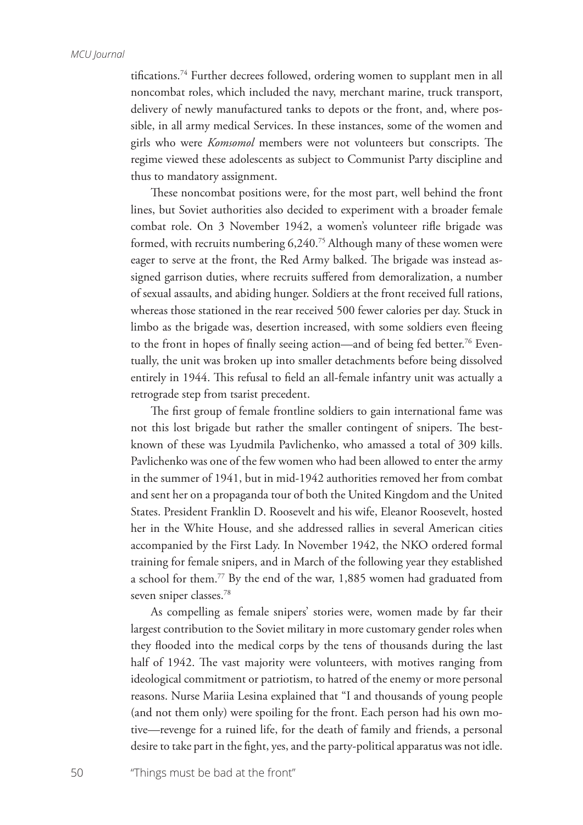tifications.74 Further decrees followed, ordering women to supplant men in all noncombat roles, which included the navy, merchant marine, truck transport, delivery of newly manufactured tanks to depots or the front, and, where possible, in all army medical Services. In these instances, some of the women and girls who were *Komsomol* members were not volunteers but conscripts. The regime viewed these adolescents as subject to Communist Party discipline and thus to mandatory assignment.

These noncombat positions were, for the most part, well behind the front lines, but Soviet authorities also decided to experiment with a broader female combat role. On 3 November 1942, a women's volunteer rifle brigade was formed, with recruits numbering 6,240.75 Although many of these women were eager to serve at the front, the Red Army balked. The brigade was instead assigned garrison duties, where recruits suffered from demoralization, a number of sexual assaults, and abiding hunger. Soldiers at the front received full rations, whereas those stationed in the rear received 500 fewer calories per day. Stuck in limbo as the brigade was, desertion increased, with some soldiers even fleeing to the front in hopes of finally seeing action—and of being fed better.<sup>76</sup> Eventually, the unit was broken up into smaller detachments before being dissolved entirely in 1944. This refusal to field an all-female infantry unit was actually a retrograde step from tsarist precedent.

The first group of female frontline soldiers to gain international fame was not this lost brigade but rather the smaller contingent of snipers. The bestknown of these was Lyudmila Pavlichenko, who amassed a total of 309 kills. Pavlichenko was one of the few women who had been allowed to enter the army in the summer of 1941, but in mid-1942 authorities removed her from combat and sent her on a propaganda tour of both the United Kingdom and the United States. President Franklin D. Roosevelt and his wife, Eleanor Roosevelt, hosted her in the White House, and she addressed rallies in several American cities accompanied by the First Lady. In November 1942, the NKO ordered formal training for female snipers, and in March of the following year they established a school for them.77 By the end of the war, 1,885 women had graduated from seven sniper classes.78

As compelling as female snipers' stories were, women made by far their largest contribution to the Soviet military in more customary gender roles when they flooded into the medical corps by the tens of thousands during the last half of 1942. The vast majority were volunteers, with motives ranging from ideological commitment or patriotism, to hatred of the enemy or more personal reasons. Nurse Mariia Lesina explained that "I and thousands of young people (and not them only) were spoiling for the front. Each person had his own motive—revenge for a ruined life, for the death of family and friends, a personal desire to take part in the fight, yes, and the party-political apparatus was not idle.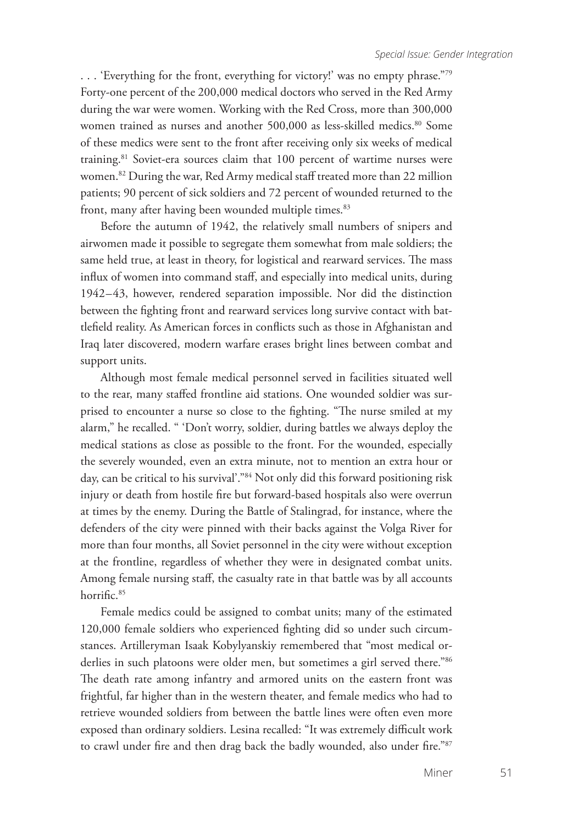. . . 'Everything for the front, everything for victory!' was no empty phrase."79 Forty-one percent of the 200,000 medical doctors who served in the Red Army during the war were women. Working with the Red Cross, more than 300,000 women trained as nurses and another 500,000 as less-skilled medics.<sup>80</sup> Some of these medics were sent to the front after receiving only six weeks of medical training.<sup>81</sup> Soviet-era sources claim that 100 percent of wartime nurses were women.82 During the war, Red Army medical staff treated more than 22 million patients; 90 percent of sick soldiers and 72 percent of wounded returned to the front, many after having been wounded multiple times.<sup>83</sup>

Before the autumn of 1942, the relatively small numbers of snipers and airwomen made it possible to segregate them somewhat from male soldiers; the same held true, at least in theory, for logistical and rearward services. The mass influx of women into command staff, and especially into medical units, during 1942–43, however, rendered separation impossible. Nor did the distinction between the fighting front and rearward services long survive contact with battlefield reality. As American forces in conflicts such as those in Afghanistan and Iraq later discovered, modern warfare erases bright lines between combat and support units.

Although most female medical personnel served in facilities situated well to the rear, many staffed frontline aid stations. One wounded soldier was surprised to encounter a nurse so close to the fighting. "The nurse smiled at my alarm," he recalled. " 'Don't worry, soldier, during battles we always deploy the medical stations as close as possible to the front. For the wounded, especially the severely wounded, even an extra minute, not to mention an extra hour or day, can be critical to his survival'."<sup>84</sup> Not only did this forward positioning risk injury or death from hostile fire but forward-based hospitals also were overrun at times by the enemy. During the Battle of Stalingrad, for instance, where the defenders of the city were pinned with their backs against the Volga River for more than four months, all Soviet personnel in the city were without exception at the frontline, regardless of whether they were in designated combat units. Among female nursing staff, the casualty rate in that battle was by all accounts horrific.<sup>85</sup>

Female medics could be assigned to combat units; many of the estimated 120,000 female soldiers who experienced fighting did so under such circumstances. Artilleryman Isaak Kobylyanskiy remembered that "most medical orderlies in such platoons were older men, but sometimes a girl served there."<sup>86</sup> The death rate among infantry and armored units on the eastern front was frightful, far higher than in the western theater, and female medics who had to retrieve wounded soldiers from between the battle lines were often even more exposed than ordinary soldiers. Lesina recalled: "It was extremely difficult work to crawl under fire and then drag back the badly wounded, also under fire."87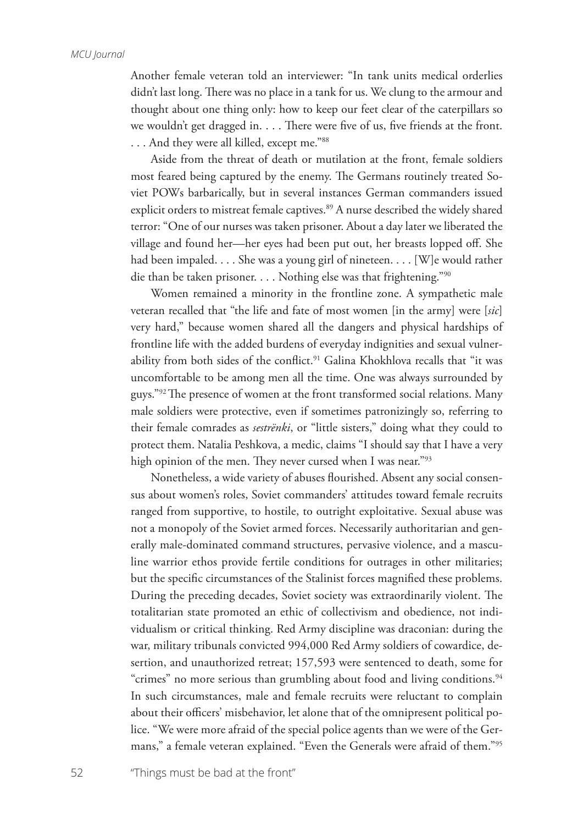Another female veteran told an interviewer: "In tank units medical orderlies didn't last long. There was no place in a tank for us. We clung to the armour and thought about one thing only: how to keep our feet clear of the caterpillars so we wouldn't get dragged in. . . . There were five of us, five friends at the front. . . . And they were all killed, except me."88

Aside from the threat of death or mutilation at the front, female soldiers most feared being captured by the enemy. The Germans routinely treated Soviet POWs barbarically, but in several instances German commanders issued explicit orders to mistreat female captives.<sup>89</sup> A nurse described the widely shared terror: "One of our nurses was taken prisoner. About a day later we liberated the village and found her—her eyes had been put out, her breasts lopped off. She had been impaled. . . . She was a young girl of nineteen. . . . [W]e would rather die than be taken prisoner. . . . Nothing else was that frightening."90

Women remained a minority in the frontline zone. A sympathetic male veteran recalled that "the life and fate of most women [in the army] were [*sic*] very hard," because women shared all the dangers and physical hardships of frontline life with the added burdens of everyday indignities and sexual vulnerability from both sides of the conflict.<sup>91</sup> Galina Khokhlova recalls that "it was uncomfortable to be among men all the time. One was always surrounded by guys."92 The presence of women at the front transformed social relations. Many male soldiers were protective, even if sometimes patronizingly so, referring to their female comrades as *sestrënki*, or "little sisters," doing what they could to protect them. Natalia Peshkova, a medic, claims "I should say that I have a very high opinion of the men. They never cursed when I was near."<sup>93</sup>

Nonetheless, a wide variety of abuses flourished. Absent any social consensus about women's roles, Soviet commanders' attitudes toward female recruits ranged from supportive, to hostile, to outright exploitative. Sexual abuse was not a monopoly of the Soviet armed forces. Necessarily authoritarian and generally male-dominated command structures, pervasive violence, and a masculine warrior ethos provide fertile conditions for outrages in other militaries; but the specific circumstances of the Stalinist forces magnified these problems. During the preceding decades, Soviet society was extraordinarily violent. The totalitarian state promoted an ethic of collectivism and obedience, not individualism or critical thinking. Red Army discipline was draconian: during the war, military tribunals convicted 994,000 Red Army soldiers of cowardice, desertion, and unauthorized retreat; 157,593 were sentenced to death, some for "crimes" no more serious than grumbling about food and living conditions.<sup>94</sup> In such circumstances, male and female recruits were reluctant to complain about their officers' misbehavior, let alone that of the omnipresent political police. "We were more afraid of the special police agents than we were of the Germans," a female veteran explained. "Even the Generals were afraid of them."95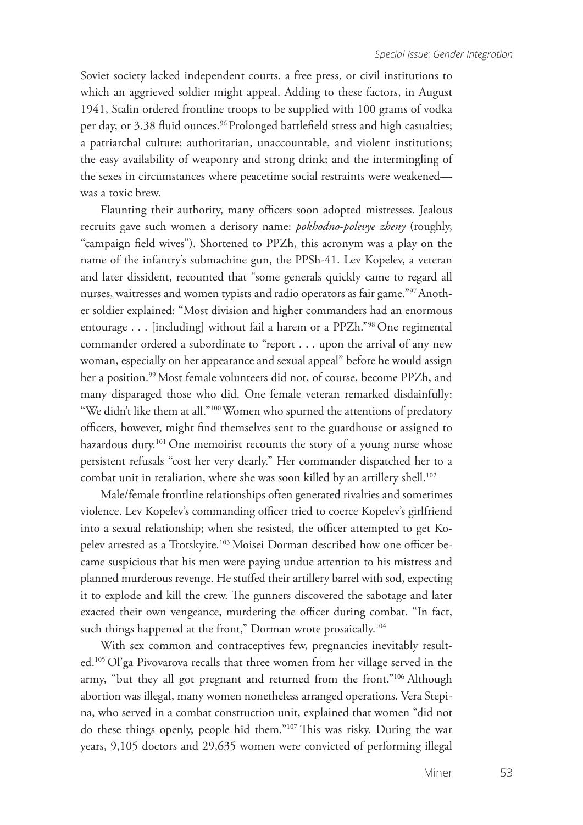Soviet society lacked independent courts, a free press, or civil institutions to which an aggrieved soldier might appeal. Adding to these factors, in August 1941, Stalin ordered frontline troops to be supplied with 100 grams of vodka per day, or 3.38 fluid ounces.<sup>96</sup> Prolonged battlefield stress and high casualties; a patriarchal culture; authoritarian, unaccountable, and violent institutions; the easy availability of weaponry and strong drink; and the intermingling of the sexes in circumstances where peacetime social restraints were weakened was a toxic brew.

Flaunting their authority, many officers soon adopted mistresses. Jealous recruits gave such women a derisory name: *pokhodno-polevye zheny* (roughly, "campaign field wives"). Shortened to PPZh, this acronym was a play on the name of the infantry's submachine gun, the PPSh-41. Lev Kopelev, a veteran and later dissident, recounted that "some generals quickly came to regard all nurses, waitresses and women typists and radio operators as fair game."97 Another soldier explained: "Most division and higher commanders had an enormous entourage . . . [including] without fail a harem or a PPZh."98 One regimental commander ordered a subordinate to "report . . . upon the arrival of any new woman, especially on her appearance and sexual appeal" before he would assign her a position.<sup>99</sup> Most female volunteers did not, of course, become PPZh, and many disparaged those who did. One female veteran remarked disdainfully: "We didn't like them at all."100 Women who spurned the attentions of predatory officers, however, might find themselves sent to the guardhouse or assigned to hazardous duty.<sup>101</sup> One memoirist recounts the story of a young nurse whose persistent refusals "cost her very dearly." Her commander dispatched her to a combat unit in retaliation, where she was soon killed by an artillery shell.<sup>102</sup>

Male/female frontline relationships often generated rivalries and sometimes violence. Lev Kopelev's commanding officer tried to coerce Kopelev's girlfriend into a sexual relationship; when she resisted, the officer attempted to get Kopelev arrested as a Trotskyite.<sup>103</sup> Moisei Dorman described how one officer became suspicious that his men were paying undue attention to his mistress and planned murderous revenge. He stuffed their artillery barrel with sod, expecting it to explode and kill the crew. The gunners discovered the sabotage and later exacted their own vengeance, murdering the officer during combat. "In fact, such things happened at the front," Dorman wrote prosaically.<sup>104</sup>

With sex common and contraceptives few, pregnancies inevitably resulted.105 Ol'ga Pivovarova recalls that three women from her village served in the army, "but they all got pregnant and returned from the front."106 Although abortion was illegal, many women nonetheless arranged operations. Vera Stepina, who served in a combat construction unit, explained that women "did not do these things openly, people hid them."107 This was risky. During the war years, 9,105 doctors and 29,635 women were convicted of performing illegal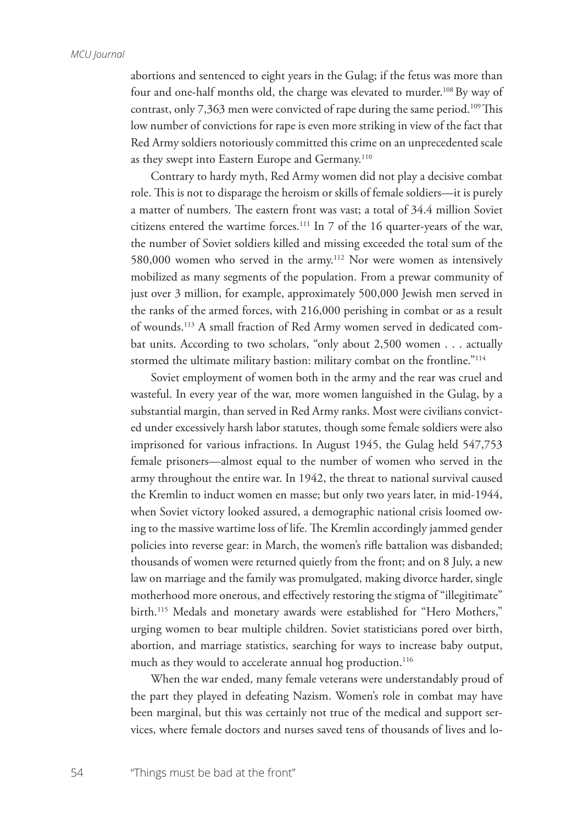abortions and sentenced to eight years in the Gulag; if the fetus was more than four and one-half months old, the charge was elevated to murder.<sup>108</sup> By way of contrast, only 7,363 men were convicted of rape during the same period.<sup>109</sup> This low number of convictions for rape is even more striking in view of the fact that Red Army soldiers notoriously committed this crime on an unprecedented scale as they swept into Eastern Europe and Germany.<sup>110</sup>

Contrary to hardy myth, Red Army women did not play a decisive combat role. This is not to disparage the heroism or skills of female soldiers—it is purely a matter of numbers. The eastern front was vast; a total of 34.4 million Soviet citizens entered the wartime forces.111 In 7 of the 16 quarter-years of the war, the number of Soviet soldiers killed and missing exceeded the total sum of the 580,000 women who served in the army.<sup>112</sup> Nor were women as intensively mobilized as many segments of the population. From a prewar community of just over 3 million, for example, approximately 500,000 Jewish men served in the ranks of the armed forces, with 216,000 perishing in combat or as a result of wounds.113 A small fraction of Red Army women served in dedicated combat units. According to two scholars, "only about 2,500 women . . . actually stormed the ultimate military bastion: military combat on the frontline."<sup>114</sup>

Soviet employment of women both in the army and the rear was cruel and wasteful. In every year of the war, more women languished in the Gulag, by a substantial margin, than served in Red Army ranks. Most were civilians convicted under excessively harsh labor statutes, though some female soldiers were also imprisoned for various infractions. In August 1945, the Gulag held 547,753 female prisoners—almost equal to the number of women who served in the army throughout the entire war. In 1942, the threat to national survival caused the Kremlin to induct women en masse; but only two years later, in mid-1944, when Soviet victory looked assured, a demographic national crisis loomed owing to the massive wartime loss of life. The Kremlin accordingly jammed gender policies into reverse gear: in March, the women's rifle battalion was disbanded; thousands of women were returned quietly from the front; and on 8 July, a new law on marriage and the family was promulgated, making divorce harder, single motherhood more onerous, and effectively restoring the stigma of "illegitimate" birth.<sup>115</sup> Medals and monetary awards were established for "Hero Mothers," urging women to bear multiple children. Soviet statisticians pored over birth, abortion, and marriage statistics, searching for ways to increase baby output, much as they would to accelerate annual hog production.<sup>116</sup>

When the war ended, many female veterans were understandably proud of the part they played in defeating Nazism. Women's role in combat may have been marginal, but this was certainly not true of the medical and support services, where female doctors and nurses saved tens of thousands of lives and lo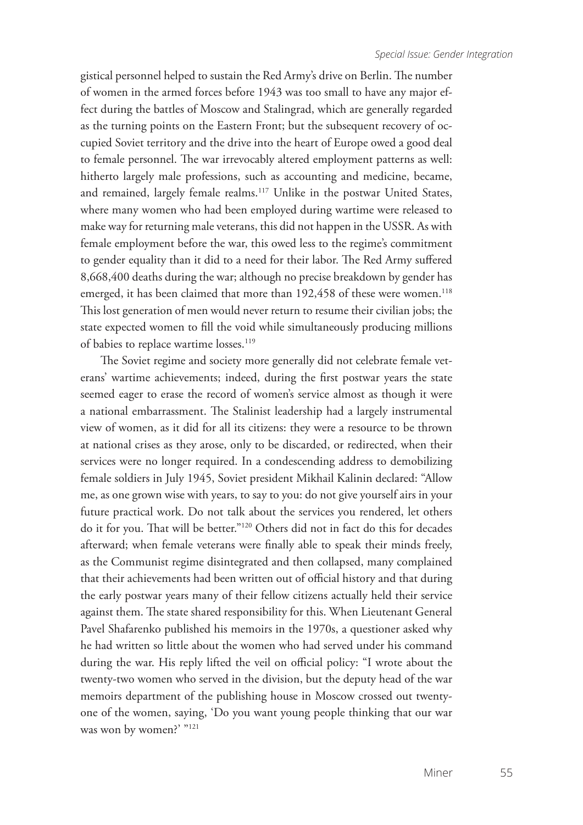gistical personnel helped to sustain the Red Army's drive on Berlin. The number of women in the armed forces before 1943 was too small to have any major effect during the battles of Moscow and Stalingrad, which are generally regarded as the turning points on the Eastern Front; but the subsequent recovery of occupied Soviet territory and the drive into the heart of Europe owed a good deal to female personnel. The war irrevocably altered employment patterns as well: hitherto largely male professions, such as accounting and medicine, became, and remained, largely female realms.<sup>117</sup> Unlike in the postwar United States, where many women who had been employed during wartime were released to make way for returning male veterans, this did not happen in the USSR. As with female employment before the war, this owed less to the regime's commitment to gender equality than it did to a need for their labor. The Red Army suffered 8,668,400 deaths during the war; although no precise breakdown by gender has emerged, it has been claimed that more than 192,458 of these were women.<sup>118</sup> This lost generation of men would never return to resume their civilian jobs; the state expected women to fill the void while simultaneously producing millions of babies to replace wartime losses.<sup>119</sup>

The Soviet regime and society more generally did not celebrate female veterans' wartime achievements; indeed, during the first postwar years the state seemed eager to erase the record of women's service almost as though it were a national embarrassment. The Stalinist leadership had a largely instrumental view of women, as it did for all its citizens: they were a resource to be thrown at national crises as they arose, only to be discarded, or redirected, when their services were no longer required. In a condescending address to demobilizing female soldiers in July 1945, Soviet president Mikhail Kalinin declared: "Allow me, as one grown wise with years, to say to you: do not give yourself airs in your future practical work. Do not talk about the services you rendered, let others do it for you. That will be better."120 Others did not in fact do this for decades afterward; when female veterans were finally able to speak their minds freely, as the Communist regime disintegrated and then collapsed, many complained that their achievements had been written out of official history and that during the early postwar years many of their fellow citizens actually held their service against them. The state shared responsibility for this. When Lieutenant General Pavel Shafarenko published his memoirs in the 1970s, a questioner asked why he had written so little about the women who had served under his command during the war. His reply lifted the veil on official policy: "I wrote about the twenty-two women who served in the division, but the deputy head of the war memoirs department of the publishing house in Moscow crossed out twentyone of the women, saying, 'Do you want young people thinking that our war was won by women?' "<sup>121</sup>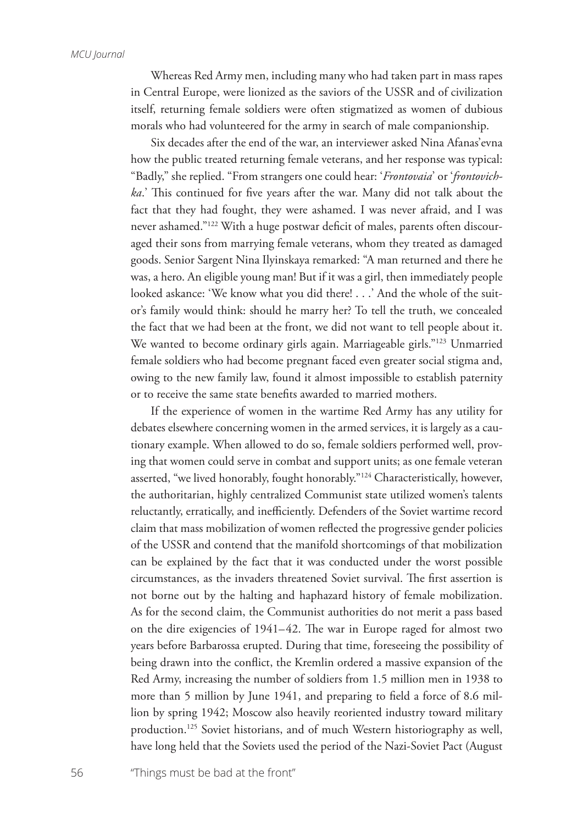Whereas Red Army men, including many who had taken part in mass rapes in Central Europe, were lionized as the saviors of the USSR and of civilization itself, returning female soldiers were often stigmatized as women of dubious morals who had volunteered for the army in search of male companionship.

Six decades after the end of the war, an interviewer asked Nina Afanas'evna how the public treated returning female veterans, and her response was typical: "Badly," she replied. "From strangers one could hear: '*Frontovaia*' or '*frontovichka*.' This continued for five years after the war. Many did not talk about the fact that they had fought, they were ashamed. I was never afraid, and I was never ashamed."122 With a huge postwar deficit of males, parents often discouraged their sons from marrying female veterans, whom they treated as damaged goods. Senior Sargent Nina Ilyinskaya remarked: "A man returned and there he was, a hero. An eligible young man! But if it was a girl, then immediately people looked askance: 'We know what you did there! . . .' And the whole of the suitor's family would think: should he marry her? To tell the truth, we concealed the fact that we had been at the front, we did not want to tell people about it. We wanted to become ordinary girls again. Marriageable girls."<sup>123</sup> Unmarried female soldiers who had become pregnant faced even greater social stigma and, owing to the new family law, found it almost impossible to establish paternity or to receive the same state benefits awarded to married mothers.

If the experience of women in the wartime Red Army has any utility for debates elsewhere concerning women in the armed services, it is largely as a cautionary example. When allowed to do so, female soldiers performed well, proving that women could serve in combat and support units; as one female veteran asserted, "we lived honorably, fought honorably."124 Characteristically, however, the authoritarian, highly centralized Communist state utilized women's talents reluctantly, erratically, and inefficiently. Defenders of the Soviet wartime record claim that mass mobilization of women reflected the progressive gender policies of the USSR and contend that the manifold shortcomings of that mobilization can be explained by the fact that it was conducted under the worst possible circumstances, as the invaders threatened Soviet survival. The first assertion is not borne out by the halting and haphazard history of female mobilization. As for the second claim, the Communist authorities do not merit a pass based on the dire exigencies of 1941–42. The war in Europe raged for almost two years before Barbarossa erupted. During that time, foreseeing the possibility of being drawn into the conflict, the Kremlin ordered a massive expansion of the Red Army, increasing the number of soldiers from 1.5 million men in 1938 to more than 5 million by June 1941, and preparing to field a force of 8.6 million by spring 1942; Moscow also heavily reoriented industry toward military production.<sup>125</sup> Soviet historians, and of much Western historiography as well, have long held that the Soviets used the period of the Nazi-Soviet Pact (August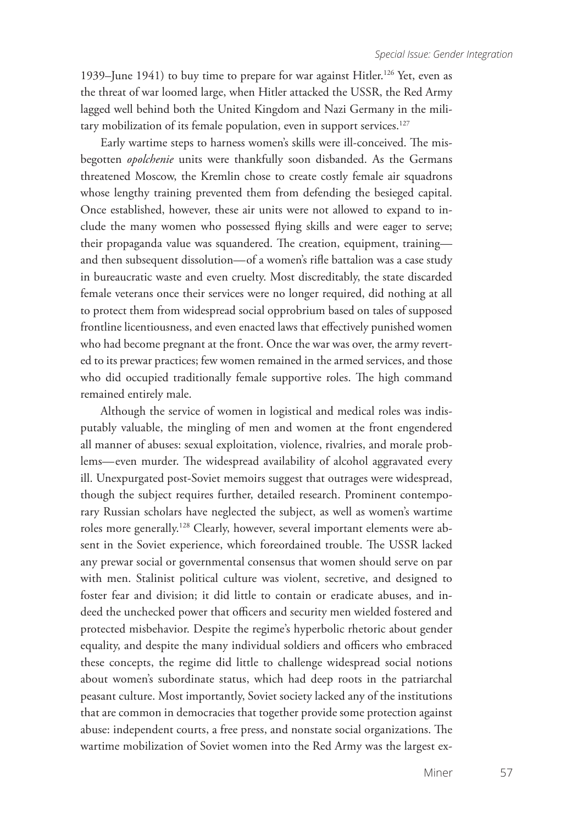1939–June 1941) to buy time to prepare for war against Hitler.<sup>126</sup> Yet, even as the threat of war loomed large, when Hitler attacked the USSR, the Red Army lagged well behind both the United Kingdom and Nazi Germany in the military mobilization of its female population, even in support services.<sup>127</sup>

Early wartime steps to harness women's skills were ill-conceived. The misbegotten *opolchenie* units were thankfully soon disbanded. As the Germans threatened Moscow, the Kremlin chose to create costly female air squadrons whose lengthy training prevented them from defending the besieged capital. Once established, however, these air units were not allowed to expand to include the many women who possessed flying skills and were eager to serve; their propaganda value was squandered. The creation, equipment, training and then subsequent dissolution—of a women's rifle battalion was a case study in bureaucratic waste and even cruelty. Most discreditably, the state discarded female veterans once their services were no longer required, did nothing at all to protect them from widespread social opprobrium based on tales of supposed frontline licentiousness, and even enacted laws that effectively punished women who had become pregnant at the front. Once the war was over, the army reverted to its prewar practices; few women remained in the armed services, and those who did occupied traditionally female supportive roles. The high command remained entirely male.

Although the service of women in logistical and medical roles was indisputably valuable, the mingling of men and women at the front engendered all manner of abuses: sexual exploitation, violence, rivalries, and morale problems—even murder. The widespread availability of alcohol aggravated every ill. Unexpurgated post-Soviet memoirs suggest that outrages were widespread, though the subject requires further, detailed research. Prominent contemporary Russian scholars have neglected the subject, as well as women's wartime roles more generally.<sup>128</sup> Clearly, however, several important elements were absent in the Soviet experience, which foreordained trouble. The USSR lacked any prewar social or governmental consensus that women should serve on par with men. Stalinist political culture was violent, secretive, and designed to foster fear and division; it did little to contain or eradicate abuses, and indeed the unchecked power that officers and security men wielded fostered and protected misbehavior. Despite the regime's hyperbolic rhetoric about gender equality, and despite the many individual soldiers and officers who embraced these concepts, the regime did little to challenge widespread social notions about women's subordinate status, which had deep roots in the patriarchal peasant culture. Most importantly, Soviet society lacked any of the institutions that are common in democracies that together provide some protection against abuse: independent courts, a free press, and nonstate social organizations. The wartime mobilization of Soviet women into the Red Army was the largest ex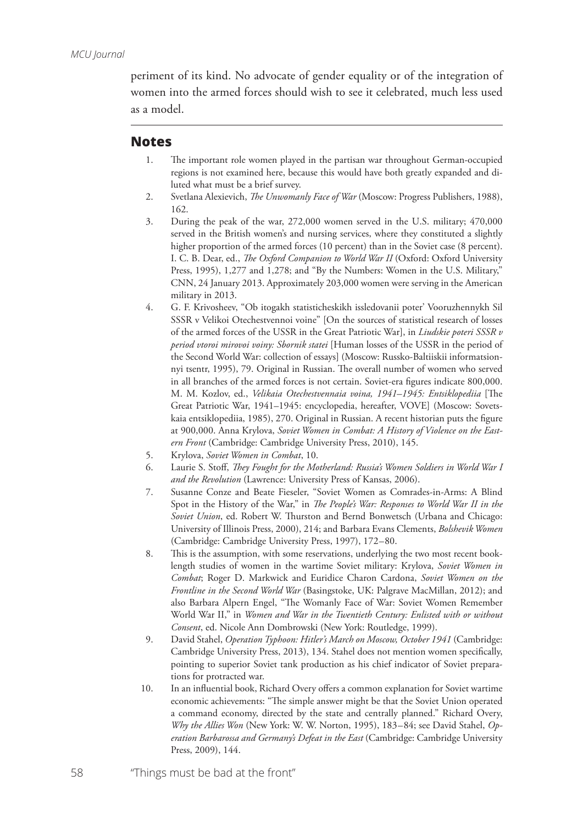periment of its kind. No advocate of gender equality or of the integration of women into the armed forces should wish to see it celebrated, much less used as a model.

## **Notes**

- 1. The important role women played in the partisan war throughout German-occupied regions is not examined here, because this would have both greatly expanded and diluted what must be a brief survey.
- 2. Svetlana Alexievich, *The Unwomanly Face of War* (Moscow: Progress Publishers, 1988), 162.
- 3. During the peak of the war, 272,000 women served in the U.S. military; 470,000 served in the British women's and nursing services, where they constituted a slightly higher proportion of the armed forces (10 percent) than in the Soviet case (8 percent). I. C. B. Dear, ed., *The Oxford Companion to World War II* (Oxford: Oxford University Press, 1995), 1,277 and 1,278; and "By the Numbers: Women in the U.S. Military," CNN, 24 January 2013. Approximately 203,000 women were serving in the American military in 2013.
- 4. G. F. Krivosheev, "Ob itogakh statisticheskikh issledovanii poter' Vooruzhennykh Sil SSSR v Velikoi Otechestvennoi voine" [On the sources of statistical research of losses of the armed forces of the USSR in the Great Patriotic War], in *Liudskie poteri SSSR v period vtoroi mirovoi voiny: Sbornik statei* [Human losses of the USSR in the period of the Second World War: collection of essays] (Moscow: Russko-Baltiiskii informatsionnyi tsentr, 1995), 79. Original in Russian. The overall number of women who served in all branches of the armed forces is not certain. Soviet-era figures indicate 800,000. M. M. Kozlov, ed., *Velikaia Otechestvennaia voina, 1941–1945: Entsiklopediia* [The Great Patriotic War, 1941–1945: encyclopedia, hereafter, VOVE] (Moscow: Sovetskaia entsiklopediia, 1985), 270. Original in Russian. A recent historian puts the figure at 900,000. Anna Krylova, *Soviet Women in Combat: A History of Violence on the Eastern Front* (Cambridge: Cambridge University Press, 2010), 145.
- 5. Krylova, *Soviet Women in Combat*, 10.
- 6. Laurie S. Stoff, *They Fought for the Motherland: Russia's Women Soldiers in World War I and the Revolution* (Lawrence: University Press of Kansas, 2006).
- 7. Susanne Conze and Beate Fieseler, "Soviet Women as Comrades-in-Arms: A Blind Spot in the History of the War," in *The People's War: Responses to World War II in the Soviet Union*, ed. Robert W. Thurston and Bernd Bonwetsch (Urbana and Chicago: University of Illinois Press, 2000), 214; and Barbara Evans Clements, *Bolshevik Women* (Cambridge: Cambridge University Press, 1997), 172–80.
- 8. This is the assumption, with some reservations, underlying the two most recent booklength studies of women in the wartime Soviet military: Krylova, *Soviet Women in Combat*; Roger D. Markwick and Euridice Charon Cardona, *Soviet Women on the Frontline in the Second World War* (Basingstoke, UK: Palgrave MacMillan, 2012); and also Barbara Alpern Engel, "The Womanly Face of War: Soviet Women Remember World War II," in *Women and War in the Twentieth Century: Enlisted with or without Consent*, ed. Nicole Ann Dombrowski (New York: Routledge, 1999).
- 9. David Stahel, *Operation Typhoon: Hitler's March on Moscow, October 1941* (Cambridge: Cambridge University Press, 2013), 134. Stahel does not mention women specifically, pointing to superior Soviet tank production as his chief indicator of Soviet preparations for protracted war.
- 10. In an influential book, Richard Overy offers a common explanation for Soviet wartime economic achievements: "The simple answer might be that the Soviet Union operated a command economy, directed by the state and centrally planned." Richard Overy, *Why the Allies Won* (New York: W. W. Norton, 1995), 183–84; see David Stahel, *Operation Barbarossa and Germany's Defeat in the East* (Cambridge: Cambridge University Press, 2009), 144.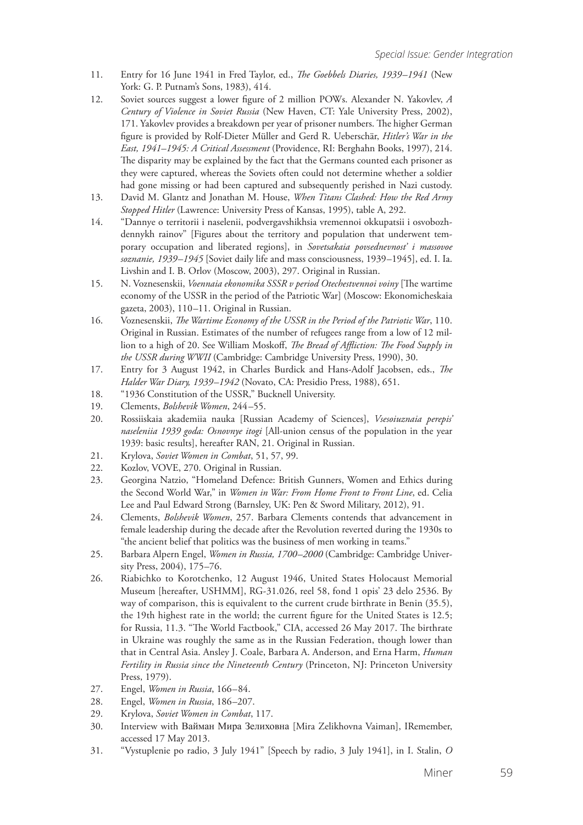- 11. Entry for 16 June 1941 in Fred Taylor, ed., *The Goebbels Diaries, 1939–1941* (New York: G. P. Putnam's Sons, 1983), 414.
- 12. Soviet sources suggest a lower figure of 2 million POWs. Alexander N. Yakovlev, *A Century of Violence in Soviet Russia* (New Haven, CT: Yale University Press, 2002), 171. Yakovlev provides a breakdown per year of prisoner numbers. The higher German figure is provided by Rolf-Dieter Müller and Gerd R. Ueberschär, *Hitler's War in the East, 1941–1945: A Critical Assessment* (Providence, RI: Berghahn Books, 1997), 214. The disparity may be explained by the fact that the Germans counted each prisoner as they were captured, whereas the Soviets often could not determine whether a soldier had gone missing or had been captured and subsequently perished in Nazi custody.
- 13. David M. Glantz and Jonathan M. House, *When Titans Clashed: How the Red Army Stopped Hitler* (Lawrence: University Press of Kansas, 1995), table A, 292.
- 14. "Dannye o territorii i naselenii, podvergavshikhsia vremennoi okkupatsii i osvobozhdennykh rainov" [Figures about the territory and population that underwent temporary occupation and liberated regions], in *Sovetsakaia povsednevnost' i massovoe soznanie, 1939–1945* [Soviet daily life and mass consciousness, 1939–1945], ed. I. Ia. Livshin and I. B. Orlov (Moscow, 2003), 297. Original in Russian.
- 15. N. Voznesenskii, *Voennaia ekonomika SSSR v period Otechestvennoi voiny* [The wartime economy of the USSR in the period of the Patriotic War] (Moscow: Ekonomicheskaia gazeta, 2003), 110–11. Original in Russian.
- 16. Voznesenskii, *The Wartime Economy of the USSR in the Period of the Patriotic War*, 110. Original in Russian. Estimates of the number of refugees range from a low of 12 million to a high of 20. See William Moskoff, *The Bread of Affliction: The Food Supply in the USSR during WWII* (Cambridge: Cambridge University Press, 1990), 30.
- 17. Entry for 3 August 1942, in Charles Burdick and Hans-Adolf Jacobsen, eds., *The Halder War Diary, 1939–1942* (Novato, CA: Presidio Press, 1988), 651.
- 18. "1936 Constitution of the USSR," Bucknell University.
- 19. Clements, *Bolshevik Women*, 244–55.
- 20. Rossiiskaia akademiia nauka [Russian Academy of Sciences], *Vsesoiuznaia perepis' naseleniia 1939 goda: Osnovnye itogi* [All-union census of the population in the year 1939: basic results], hereafter RAN, 21. Original in Russian.
- 21. Krylova, *Soviet Women in Combat*, 51, 57, 99.
- 22. Kozlov, VOVE, 270. Original in Russian.
- 23. Georgina Natzio, "Homeland Defence: British Gunners, Women and Ethics during the Second World War," in *Women in War: From Home Front to Front Line*, ed. Celia Lee and Paul Edward Strong (Barnsley, UK: Pen & Sword Military, 2012), 91.
- 24. Clements, *Bolshevik Women*, 257. Barbara Clements contends that advancement in female leadership during the decade after the Revolution reverted during the 1930s to "the ancient belief that politics was the business of men working in teams."
- 25. Barbara Alpern Engel, *Women in Russia, 1700–2000* (Cambridge: Cambridge University Press, 2004), 175–76.
- 26. Riabichko to Korotchenko, 12 August 1946, United States Holocaust Memorial Museum [hereafter, USHMM], RG-31.026, reel 58, fond 1 opis' 23 delo 2536. By way of comparison, this is equivalent to the current crude birthrate in Benin (35.5), the 19th highest rate in the world; the current figure for the United States is 12.5; for Russia, 11.3. "The World Factbook," CIA, accessed 26 May 2017. The birthrate in Ukraine was roughly the same as in the Russian Federation, though lower than that in Central Asia. Ansley J. Coale, Barbara A. Anderson, and Erna Harm, *Human Fertility in Russia since the Nineteenth Century* (Princeton, NJ: Princeton University Press, 1979).
- 27. Engel, *Women in Russia*, 166–84.
- 28. Engel, *Women in Russia*, 186–207.
- 29. Krylova, *Soviet Women in Combat*, 117.
- 30. Interview with Вайман Мира Зелиховна [Mira Zelikhovna Vaiman], IRemember, accessed 17 May 2013.
- 31. "Vystuplenie po radio, 3 July 1941" [Speech by radio, 3 July 1941], in I. Stalin, *O*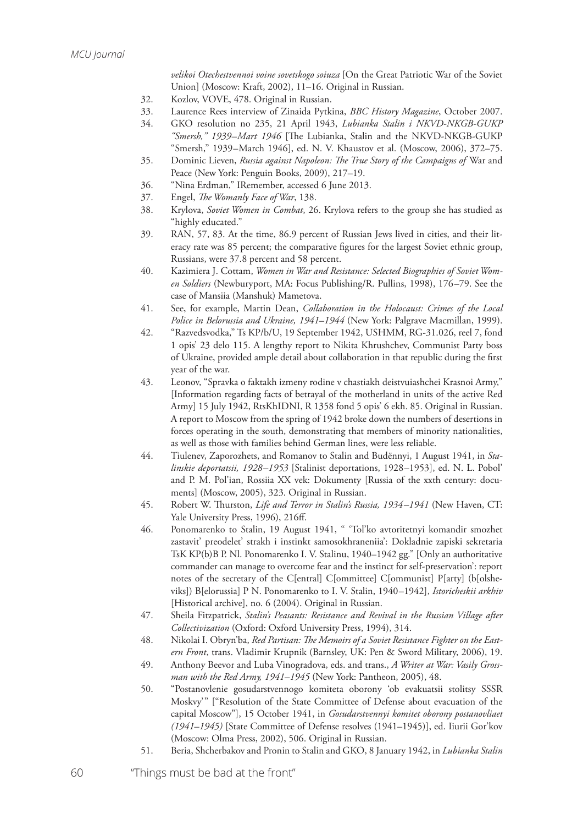*velikoi Otechestvennoi voine sovetskogo soiuza* [On the Great Patriotic War of the Soviet Union] (Moscow: Kraft, 2002), 11–16. Original in Russian.

- 32. Kozlov, VOVE, 478. Original in Russian.
- 33. Laurence Rees interview of Zinaida Pytkina, *BBC History Magazine*, October 2007.
- 34. GKO resolution no 235, 21 April 1943, *Lubianka Stalin i NKVD-NKGB-GUKP "Smersh," 1939–Mart 1946* [The Lubianka, Stalin and the NKVD-NKGB-GUKP "Smersh," 1939–March 1946], ed. N. V. Khaustov et al. (Moscow, 2006), 372–75.
- 35. Dominic Lieven, *Russia against Napoleon: The True Story of the Campaigns of* War and Peace (New York: Penguin Books, 2009), 217–19.
- 36. "Nina Erdman," IRemember, accessed 6 June 2013.
- 37. Engel, *The Womanly Face of War*, 138.
- 38. Krylova, *Soviet Women in Combat*, 26. Krylova refers to the group she has studied as "highly educated."
- 39. RAN, 57, 83. At the time, 86.9 percent of Russian Jews lived in cities, and their literacy rate was 85 percent; the comparative figures for the largest Soviet ethnic group, Russians, were 37.8 percent and 58 percent.
- 40. Kazimiera J. Cottam, *Women in War and Resistance: Selected Biographies of Soviet Women Soldiers* (Newburyport, MA: Focus Publishing/R. Pullins, 1998), 176–79. See the case of Mansiia (Manshuk) Mametova.
- 41. See, for example, Martin Dean, *Collaboration in the Holocaust: Crimes of the Local Police in Belorussia and Ukraine, 1941–1944* (New York: Palgrave Macmillan, 1999).
- 42. "Razvedsvodka," Ts KP/b/U, 19 September 1942, USHMM, RG-31.026, reel 7, fond 1 opis' 23 delo 115. A lengthy report to Nikita Khrushchev, Communist Party boss of Ukraine, provided ample detail about collaboration in that republic during the first year of the war.
- 43. Leonov, "Spravka o faktakh izmeny rodine v chastiakh deistvuiashchei Krasnoi Army," [Information regarding facts of betrayal of the motherland in units of the active Red Army] 15 July 1942, RtsKhIDNI, R 1358 fond 5 opis' 6 ekh. 85. Original in Russian. A report to Moscow from the spring of 1942 broke down the numbers of desertions in forces operating in the south, demonstrating that members of minority nationalities, as well as those with families behind German lines, were less reliable.
- 44. Tiulenev, Zaporozhets, and Romanov to Stalin and Budënnyi, 1 August 1941, in *Stalinskie deportatsii, 1928–1953* [Stalinist deportations, 1928–1953], ed. N. L. Pobol' and P. M. Pol'ian, Rossiia XX vek: Dokumenty [Russia of the xxth century: documents] (Moscow, 2005), 323. Original in Russian.
- 45. Robert W. Thurston, *Life and Terror in Stalin's Russia, 1934–1941* (New Haven, CT: Yale University Press, 1996), 216ff.
- 46. Ponomarenko to Stalin, 19 August 1941, " 'Tol'ko avtoritetnyi komandir smozhet zastavit' preodelet' strakh i instinkt samosokhraneniia': Dokladnie zapiski sekretaria TsK KP(b)B P. Nl. Ponomarenko I. V. Stalinu, 1940–1942 gg." [Only an authoritative commander can manage to overcome fear and the instinct for self-preservation': report notes of the secretary of the C[entral] C[ommittee] C[ommunist] P[arty] (b[olsheviks]) B[elorussia] P N. Ponomarenko to I. V. Stalin, 1940–1942], *Istoricheskii arkhiv* [Historical archive], no. 6 (2004). Original in Russian.
- 47. Sheila Fitzpatrick, *Stalin's Peasants: Resistance and Revival in the Russian Village after Collectivization* (Oxford: Oxford University Press, 1994), 314.
- 48. Nikolai I. Obryn'ba, *Red Partisan: The Memoirs of a Soviet Resistance Fighter on the Eastern Front*, trans. Vladimir Krupnik (Barnsley, UK: Pen & Sword Military, 2006), 19.
- 49. Anthony Beevor and Luba Vinogradova, eds. and trans., *A Writer at War: Vasily Grossman with the Red Army, 1941–1945* (New York: Pantheon, 2005), 48.
- 50. "Postanovlenie gosudarstvennogo komiteta oborony 'ob evakuatsii stolitsy SSSR Moskvy'" ["Resolution of the State Committee of Defense about evacuation of the capital Moscow"], 15 October 1941, in *Gosudarstvennyi komitet oborony postanovliaet (1941–1945)* [State Committee of Defense resolves (1941–1945)], ed. Iiurii Gor'kov (Moscow: Olma Press, 2002), 506. Original in Russian.
- 51. Beria, Shcherbakov and Pronin to Stalin and GKO, 8 January 1942, in *Lubianka Stalin*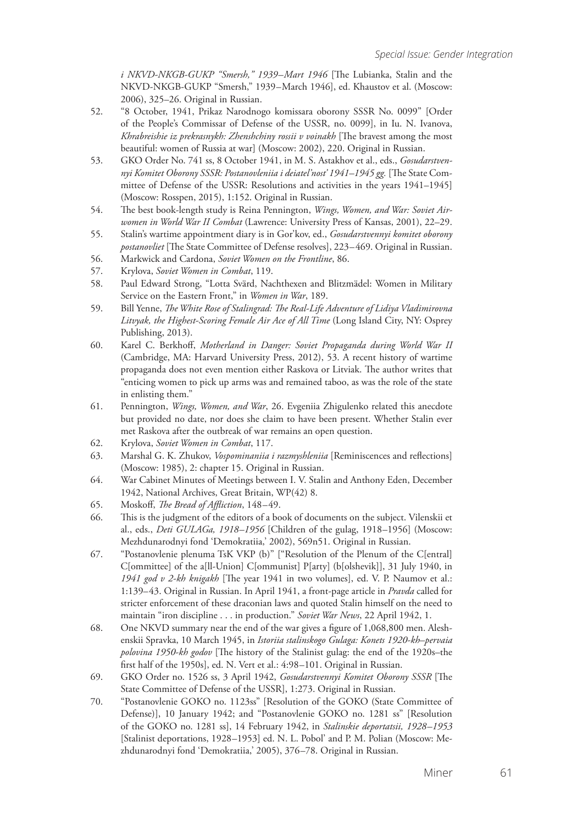*i NKVD-NKGB-GUKP "Smersh," 1939–Mart 1946* [The Lubianka, Stalin and the NKVD-NKGB-GUKP "Smersh," 1939–March 1946], ed. Khaustov et al. (Moscow: 2006), 325–26. Original in Russian.

- 52. "8 October, 1941, Prikaz Narodnogo komissara oborony SSSR No. 0099" [Order of the People's Commissar of Defense of the USSR, no. 0099], in Iu. N. Ivanova, *Khrabreishie iz prekrasnykh: Zhenshchiny rossii v voinakh* [The bravest among the most beautiful: women of Russia at war] (Moscow: 2002), 220. Original in Russian.
- 53. GKO Order No. 741 ss, 8 October 1941, in M. S. Astakhov et al., eds., *Gosudarstvennyi Komitet Oborony SSSR: Postanovleniia i deiatel'nost' 1941–1945 gg.* [The State Committee of Defense of the USSR: Resolutions and activities in the years 1941–1945] (Moscow: Rosspen, 2015), 1:152. Original in Russian.
- 54. The best book-length study is Reina Pennington, *Wings, Women, and War: Soviet Airwomen in World War II Combat* (Lawrence: University Press of Kansas, 2001), 22–29.
- 55. Stalin's wartime appointment diary is in Gor'kov, ed., *Gosudarstvennyi komitet oborony postanovliet* [The State Committee of Defense resolves], 223–469. Original in Russian.
- 56. Markwick and Cardona, *Soviet Women on the Frontline*, 86.
- 57. Krylova, *Soviet Women in Combat*, 119.
- 58. Paul Edward Strong, "Lotta Svärd, Nachthexen and Blitzmädel: Women in Military Service on the Eastern Front," in *Women in War*, 189.
- 59. Bill Yenne, *The White Rose of Stalingrad: The Real-Life Adventure of Lidiya Vladimirovna Litvyak, the Highest-Scoring Female Air Ace of All Time* (Long Island City, NY: Osprey Publishing, 2013).
- 60. Karel C. Berkhoff, *Motherland in Danger: Soviet Propaganda during World War II* (Cambridge, MA: Harvard University Press, 2012), 53. A recent history of wartime propaganda does not even mention either Raskova or Litviak. The author writes that "enticing women to pick up arms was and remained taboo, as was the role of the state in enlisting them."
- 61. Pennington, *Wings, Women, and War*, 26. Evgeniia Zhigulenko related this anecdote but provided no date, nor does she claim to have been present. Whether Stalin ever met Raskova after the outbreak of war remains an open question.
- 62. Krylova, *Soviet Women in Combat*, 117.
- 63. Marshal G. K. Zhukov, *Vospominaniia i razmyshleniia* [Reminiscences and reflections] (Moscow: 1985), 2: chapter 15. Original in Russian.
- 64. War Cabinet Minutes of Meetings between I. V. Stalin and Anthony Eden, December 1942, National Archives, Great Britain, WP(42) 8.
- 65. Moskoff, *The Bread of Affliction*, 148–49.
- 66. This is the judgment of the editors of a book of documents on the subject. Vilenskii et al., eds., *Deti GULAGa, 1918–1956* [Children of the gulag, 1918–1956] (Moscow: Mezhdunarodnyi fond 'Demokratiia,' 2002), 569n51. Original in Russian.
- 67. "Postanovlenie plenuma TsK VKP (b)" ["Resolution of the Plenum of the C[entral] C[ommittee] of the a[ll-Union] C[ommunist] P[arty] (b[olshevik]], 31 July 1940, in *1941 god v 2-kh knigakh* [The year 1941 in two volumes], ed. V. P. Naumov et al.: 1:139–43. Original in Russian. In April 1941, a front-page article in *Pravda* called for stricter enforcement of these draconian laws and quoted Stalin himself on the need to maintain "iron discipline . . . in production." *Soviet War News*, 22 April 1942, 1.
- 68. One NKVD summary near the end of the war gives a figure of 1,068,800 men. Aleshenskii Spravka, 10 March 1945, in *Istoriia stalinskogo Gulaga: Konets 1920-kh–pervaia polovina 1950-kh godov* [The history of the Stalinist gulag: the end of the 1920s–the first half of the 1950s], ed. N. Vert et al.: 4:98–101. Original in Russian.
- 69. GKO Order no. 1526 ss, 3 April 1942, *Gosudarstvennyi Komitet Oborony SSSR* [The State Committee of Defense of the USSR], 1:273. Original in Russian.
- 70. "Postanovlenie GOKO no. 1123ss" [Resolution of the GOKO (State Committee of Defense)], 10 January 1942; and "Postanovlenie GOKO no. 1281 ss" [Resolution of the GOKO no. 1281 ss], 14 February 1942, in *Stalinskie deportatsii, 1928–1953* [Stalinist deportations, 1928–1953] ed. N. L. Pobol' and P. M. Polian (Moscow: Mezhdunarodnyi fond 'Demokratiia,' 2005), 376–78. Original in Russian.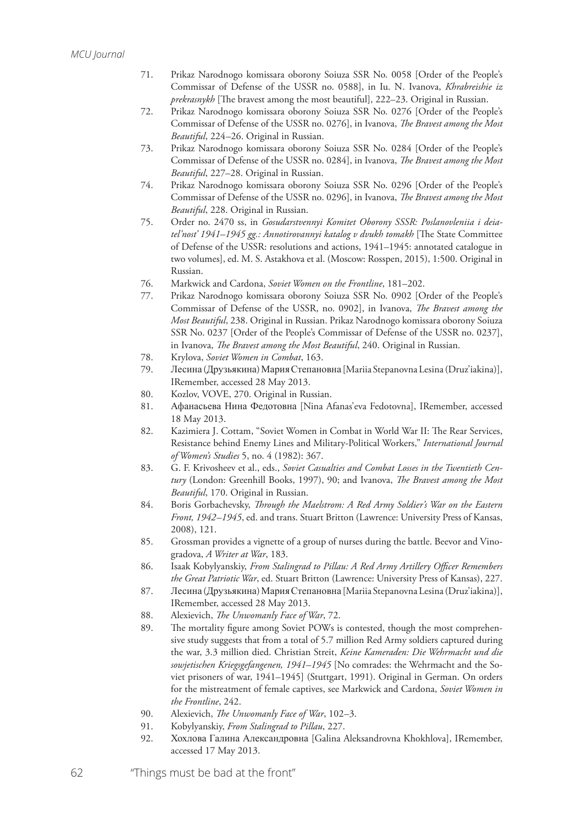- 71. Prikaz Narodnogo komissara oborony Soiuza SSR No. 0058 [Order of the People's Commissar of Defense of the USSR no. 0588], in Iu. N. Ivanova, *Khrabreishie iz prekrasnykh* [The bravest among the most beautiful], 222–23. Original in Russian.
- 72. Prikaz Narodnogo komissara oborony Soiuza SSR No. 0276 [Order of the People's Commissar of Defense of the USSR no. 0276], in Ivanova, *The Bravest among the Most Beautiful*, 224–26. Original in Russian.
- 73. Prikaz Narodnogo komissara oborony Soiuza SSR No. 0284 [Order of the People's Commissar of Defense of the USSR no. 0284], in Ivanova, *The Bravest among the Most Beautiful*, 227–28. Original in Russian.
- 74. Prikaz Narodnogo komissara oborony Soiuza SSR No. 0296 [Order of the People's Commissar of Defense of the USSR no. 0296], in Ivanova, *The Bravest among the Most Beautiful*, 228. Original in Russian.
- 75. Order no. 2470 ss, in *Gosudarstvennyi Komitet Oborony SSSR: Poslanovleniia i deiatel'nost' 1941–1945 gg.: Annotirovannyi katalog v dvukh tomakh* [The State Committee of Defense of the USSR: resolutions and actions, 1941–1945: annotated catalogue in two volumes], ed. M. S. Astakhova et al. (Moscow: Rosspen, 2015), 1:500. Original in Russian.
- 76. Markwick and Cardona, *Soviet Women on the Frontline*, 181–202.
- 77. Prikaz Narodnogo komissara oborony Soiuza SSR No. 0902 [Order of the People's Commissar of Defense of the USSR, no. 0902], in Ivanova, *The Bravest among the Most Beautiful*, 238. Original in Russian. Prikaz Narodnogo komissara oborony Soiuza SSR No. 0237 [Order of the People's Commissar of Defense of the USSR no. 0237], in Ivanova, *The Bravest among the Most Beautiful*, 240. Original in Russian.
- 78. Krylova, *Soviet Women in Combat*, 163.
- 79. Лесина (Друзьякина) Мария Степановна [Mariia Stepanovna Lesina (Druz'iakina)], IRemember, accessed 28 May 2013.
- 80. Kozlov, VOVE, 270. Original in Russian.
- 81. Афанасьева Нина Федотовна [Nina Afanas'eva Fedotovna], IRemember, accessed 18 May 2013.
- 82. Kazimiera J. Cottam, "Soviet Women in Combat in World War II: The Rear Services, Resistance behind Enemy Lines and Military-Political Workers," *International Journal of Women's Studies* 5, no. 4 (1982): 367.
- 83. G. F. Krivosheev et al., eds., *Soviet Casualties and Combat Losses in the Twentieth Century* (London: Greenhill Books, 1997), 90; and Ivanova, *The Bravest among the Most Beautiful*, 170. Original in Russian.
- 84. Boris Gorbachevsky, *Through the Maelstrom: A Red Army Soldier's War on the Eastern Front, 1942–1945*, ed. and trans. Stuart Britton (Lawrence: University Press of Kansas, 2008), 121.
- 85. Grossman provides a vignette of a group of nurses during the battle. Beevor and Vinogradova, *A Writer at War*, 183.
- 86. Isaak Kobylyanskiy, *From Stalingrad to Pillau: A Red Army Artillery Officer Remembers the Great Patriotic War*, ed. Stuart Britton (Lawrence: University Press of Kansas), 227.
- 87. Лесина (Друзьякина) Мария Степановна [Mariia Stepanovna Lesina (Druz'iakina)], IRemember, accessed 28 May 2013.
- 88. Alexievich, *The Unwomanly Face of War*, 72.
- 89. The mortality figure among Soviet POWs is contested, though the most comprehensive study suggests that from a total of 5.7 million Red Army soldiers captured during the war, 3.3 million died. Christian Streit, *Keine Kameraden: Die Wehrmacht und die sowjetischen Kriegsgefangenen, 1941–1945* [No comrades: the Wehrmacht and the Soviet prisoners of war, 1941–1945] (Stuttgart, 1991). Original in German. On orders for the mistreatment of female captives, see Markwick and Cardona, *Soviet Women in the Frontline*, 242.
- 90. Alexievich, *The Unwomanly Face of War*, 102–3.
- 91. Kobylyanskiy, *From Stalingrad to Pillau*, 227.
- 92. Хохлова Галина Александровнa [Galina Aleksandrovna Khokhlova], IRemember, accessed 17 May 2013.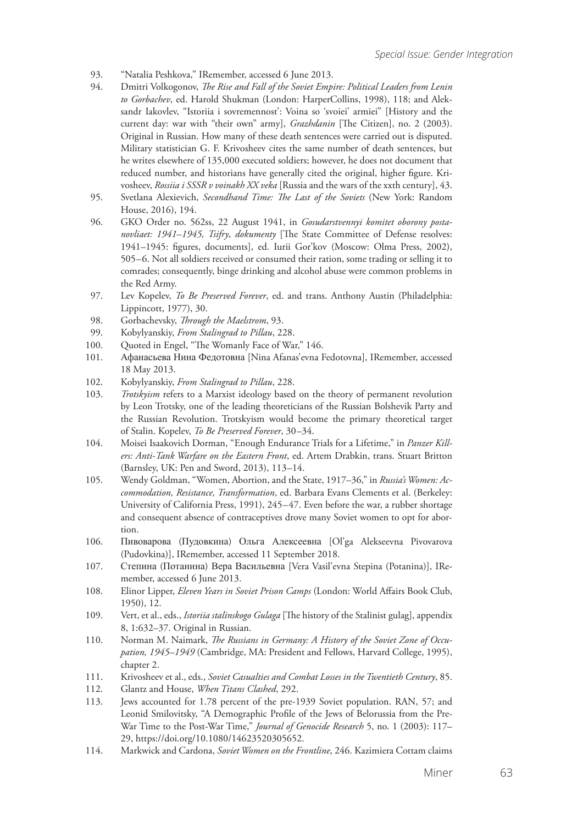- 93. "Natalia Peshkova," IRemember, accessed 6 June 2013.<br>94. Dmitri Volkogonov. *The Rise and Fall of the Soviet Empi*
- 94. Dmitri Volkogonov, *The Rise and Fall of the Soviet Empire: Political Leaders from Lenin to Gorbachev*, ed. Harold Shukman (London: HarperCollins, 1998), 118; and Aleksandr Iakovlev, "Istoriia i sovremennost': Voina so 'svoiei' armiei" [History and the current day: war with "their own" army], *Grazhdanin* [The Citizen], no. 2 (2003). Original in Russian. How many of these death sentences were carried out is disputed. Military statistician G. F. Krivosheev cites the same number of death sentences, but he writes elsewhere of 135,000 executed soldiers; however, he does not document that reduced number, and historians have generally cited the original, higher figure. Krivosheev, *Rossiia i SSSR v voinakh XX veka* [Russia and the wars of the xxth century], 43.
- 95. Svetlana Alexievich, *Secondhand Time: The Last of the Soviets* (New York: Random House, 2016), 194.
- 96. GKO Order no. 562ss, 22 August 1941, in *Gosudarstvennyi komitet oborony postanovliaet: 1941–1945, Tsifry*, *dokumenty* [The State Committee of Defense resolves: 1941–1945: figures, documents], ed. Iurii Gor'kov (Moscow: Olma Press, 2002), 505–6. Not all soldiers received or consumed their ration, some trading or selling it to comrades; consequently, binge drinking and alcohol abuse were common problems in the Red Army.
- 97. Lev Kopelev, *To Be Preserved Forever*, ed. and trans. Anthony Austin (Philadelphia: Lippincott, 1977), 30.
- 98. Gorbachevsky, *Through the Maelstrom*, 93.
- 99. Kobylyanskiy, *From Stalingrad to Pillau*, 228.
- 100. Ouoted in Engel, "The Womanly Face of War," 146.
- 101. Афанасьева Нина Федотовна [Nina Afanas'evna Fedotovna], IRemember, accessed 18 May 2013.
- 102. Kobylyanskiy, *From Stalingrad to Pillau*, 228.
- 103. *Trotskyism* refers to a Marxist ideology based on the theory of permanent revolution by Leon Trotsky, one of the leading theoreticians of the Russian Bolshevik Party and the Russian Revolution. Trotskyism would become the primary theoretical target of Stalin. Kopelev, *To Be Preserved Forever*, 30–34.
- 104. Moisei Isaakovich Dorman, "Enough Endurance Trials for a Lifetime," in *Panzer Killers: Anti-Tank Warfare on the Eastern Front*, ed. Artem Drabkin, trans. Stuart Britton (Barnsley, UK: Pen and Sword, 2013), 113–14.
- 105. Wendy Goldman, "Women, Abortion, and the State, 1917–36," in *Russia's Women: Accommodation, Resistance, Transformation*, ed. Barbara Evans Clements et al. (Berkeley: University of California Press, 1991), 245–47. Even before the war, a rubber shortage and consequent absence of contraceptives drove many Soviet women to opt for abortion.
- 106. Пивоварова (Пудовкина) Ольга Алексеевна [Ol'ga Alekseevna Pivovarova (Pudovkina)], IRemember, accessed 11 September 2018.
- 107. Степина (Потанина) Вера Васильевна [Vera Vasil'evna Stepina (Potanina)], IRemember, accessed 6 June 2013.
- 108. Elinor Lipper, *Eleven Years in Soviet Prison Camps* (London: World Affairs Book Club, 1950), 12.
- 109. Vert, et al., eds., *Istoriia stalinskogo Gulaga* [The history of the Stalinist gulag], appendix 8, 1:632–37. Original in Russian.
- 110. Norman M. Naimark, *The Russians in Germany: A History of the Soviet Zone of Occupation, 1945–1949* (Cambridge, MA: President and Fellows, Harvard College, 1995), chapter 2.
- 111. Krivosheev et al., eds., *Soviet Casualties and Combat Losses in the Twentieth Century*, 85.
- 112. Glantz and House, *When Titans Clashed*, 292.
- 113. Jews accounted for 1.78 percent of the pre-1939 Soviet population. RAN, 57; and Leonid Smilovitsky, "A Demographic Profile of the Jews of Belorussia from the Pre-War Time to the Post-War Time," *Journal of Genocide Research* 5, no. 1 (2003): 117– 29, https://doi.org/10.1080/14623520305652.
- 114. Markwick and Cardona, *Soviet Women on the Frontline*, 246. Kazimiera Cottam claims